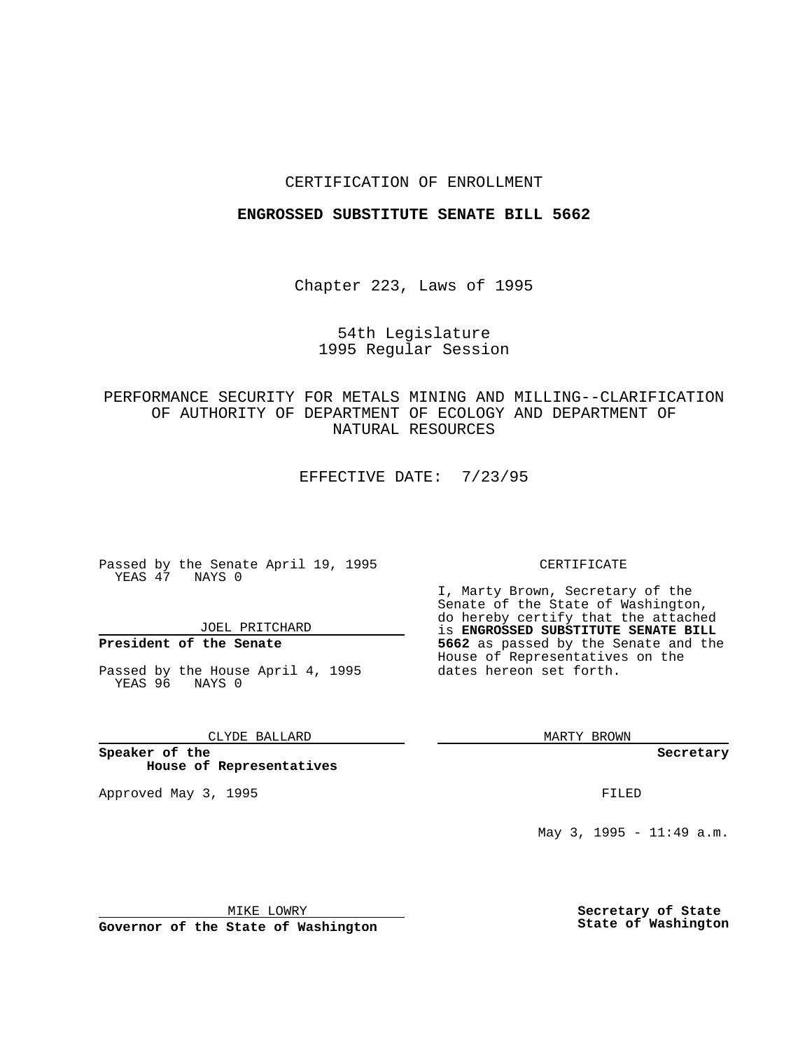### CERTIFICATION OF ENROLLMENT

#### **ENGROSSED SUBSTITUTE SENATE BILL 5662**

Chapter 223, Laws of 1995

## 54th Legislature 1995 Regular Session

PERFORMANCE SECURITY FOR METALS MINING AND MILLING--CLARIFICATION OF AUTHORITY OF DEPARTMENT OF ECOLOGY AND DEPARTMENT OF NATURAL RESOURCES

EFFECTIVE DATE: 7/23/95

Passed by the Senate April 19, 1995 YEAS 47 NAYS 0

JOEL PRITCHARD

# **President of the Senate**

Passed by the House April 4, 1995 YEAS 96 NAYS 0

CLYDE BALLARD

**Speaker of the House of Representatives**

Approved May 3, 1995 **FILED** 

#### CERTIFICATE

I, Marty Brown, Secretary of the Senate of the State of Washington, do hereby certify that the attached is **ENGROSSED SUBSTITUTE SENATE BILL 5662** as passed by the Senate and the House of Representatives on the dates hereon set forth.

MARTY BROWN

**Secretary**

May 3, 1995 -  $11:49$  a.m.

MIKE LOWRY

**Governor of the State of Washington**

**Secretary of State State of Washington**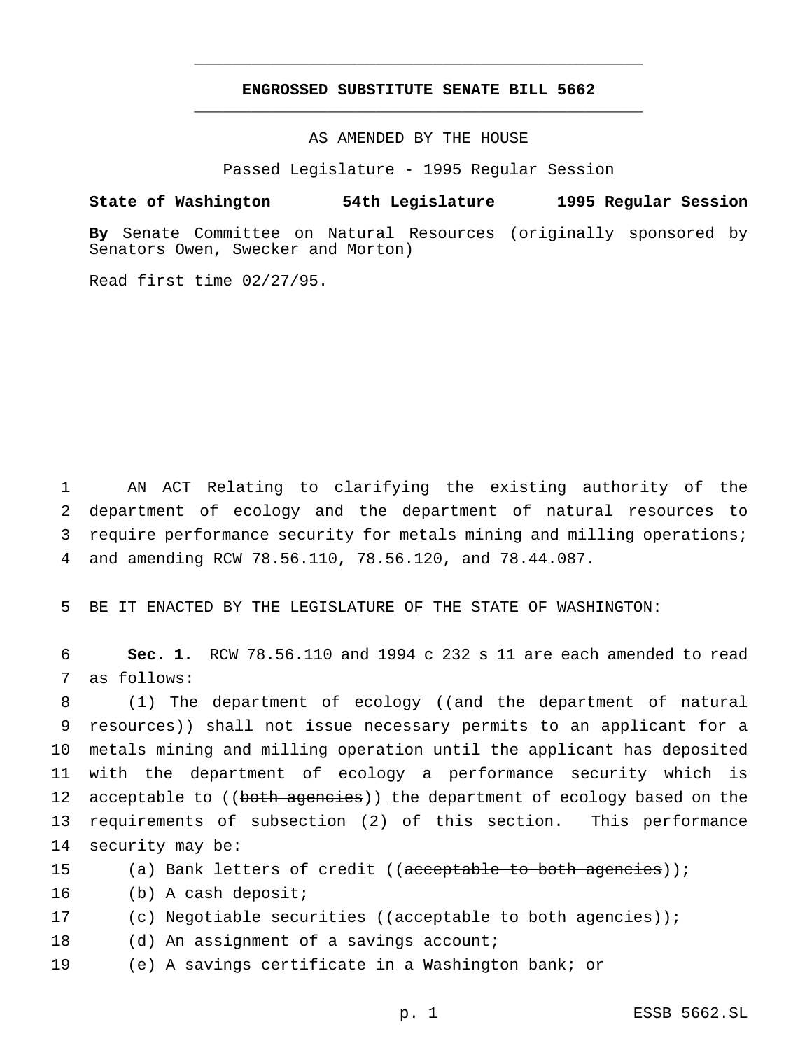## **ENGROSSED SUBSTITUTE SENATE BILL 5662** \_\_\_\_\_\_\_\_\_\_\_\_\_\_\_\_\_\_\_\_\_\_\_\_\_\_\_\_\_\_\_\_\_\_\_\_\_\_\_\_\_\_\_\_\_\_\_

\_\_\_\_\_\_\_\_\_\_\_\_\_\_\_\_\_\_\_\_\_\_\_\_\_\_\_\_\_\_\_\_\_\_\_\_\_\_\_\_\_\_\_\_\_\_\_

AS AMENDED BY THE HOUSE

Passed Legislature - 1995 Regular Session

#### **State of Washington 54th Legislature 1995 Regular Session**

**By** Senate Committee on Natural Resources (originally sponsored by Senators Owen, Swecker and Morton)

Read first time 02/27/95.

 AN ACT Relating to clarifying the existing authority of the department of ecology and the department of natural resources to require performance security for metals mining and milling operations; and amending RCW 78.56.110, 78.56.120, and 78.44.087.

5 BE IT ENACTED BY THE LEGISLATURE OF THE STATE OF WASHINGTON:

6 **Sec. 1.** RCW 78.56.110 and 1994 c 232 s 11 are each amended to read 7 as follows:

8 (1) The department of ecology ((and the department of natural 9 resources)) shall not issue necessary permits to an applicant for a 10 metals mining and milling operation until the applicant has deposited 11 with the department of ecology a performance security which is 12 acceptable to ((both agencies)) the department of ecology based on the 13 requirements of subsection (2) of this section. This performance 14 security may be:

15 (a) Bank letters of credit ((acceptable to both agencies));

16 (b) A cash deposit;

17 (c) Negotiable securities ((acceptable to both agencies));

18 (d) An assignment of a savings account;

19 (e) A savings certificate in a Washington bank; or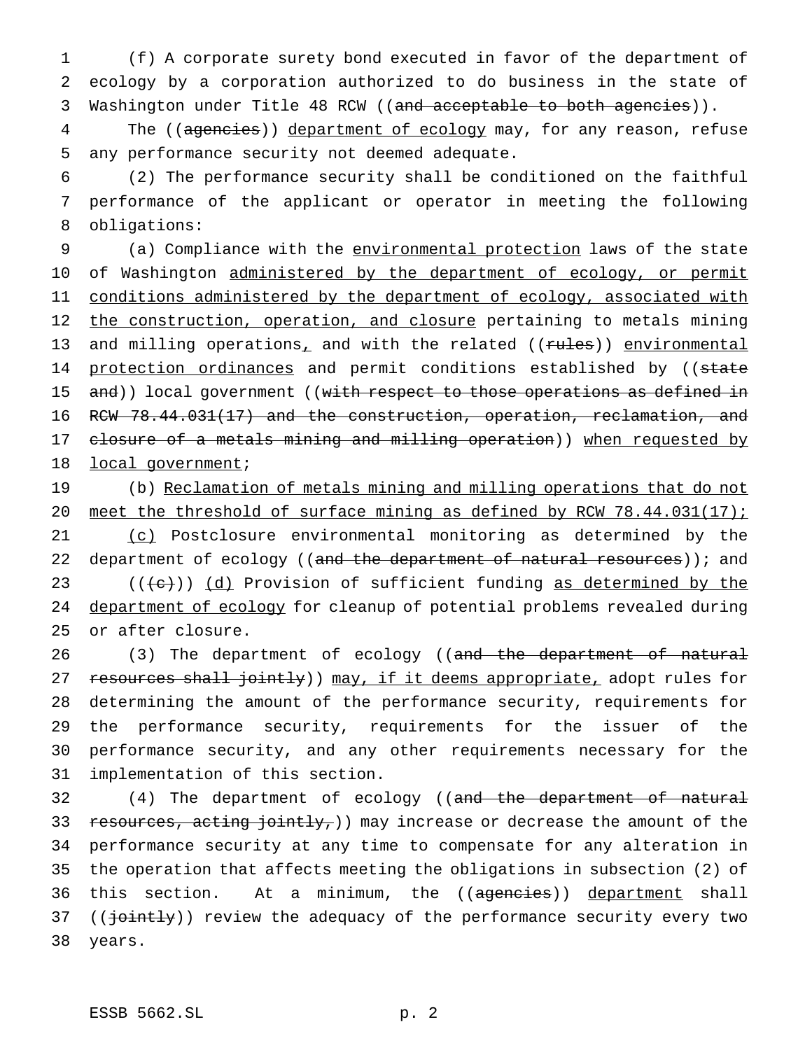1 (f) A corporate surety bond executed in favor of the department of 2 ecology by a corporation authorized to do business in the state of 3 Washington under Title 48 RCW ((and acceptable to both agencies)).

4 The ((agencies)) department of ecology may, for any reason, refuse 5 any performance security not deemed adequate.

6 (2) The performance security shall be conditioned on the faithful 7 performance of the applicant or operator in meeting the following 8 obligations:

9 (a) Compliance with the environmental protection laws of the state 10 of Washington administered by the department of ecology, or permit 11 conditions administered by the department of ecology, associated with 12 the construction, operation, and closure pertaining to metals mining 13 and milling operations, and with the related ((rules)) environmental 14 protection ordinances and permit conditions established by ((state 15 and)) local government ((with respect to those operations as defined in 16 RCW 78.44.031(17) and the construction, operation, reclamation, and 17 closure of a metals mining and milling operation)) when requested by 18 local government;

 (b) Reclamation of metals mining and milling operations that do not meet the threshold of surface mining as defined by RCW 78.44.031(17); (c) Postclosure environmental monitoring as determined by the 22 department of ecology ((and the department of natural resources)); and  $((+e))$   $(d)$  Provision of sufficient funding as determined by the 24 department of ecology for cleanup of potential problems revealed during or after closure.

26 (3) The department of ecology ((and the department of natural 27 resources shall jointly)) may, if it deems appropriate, adopt rules for determining the amount of the performance security, requirements for the performance security, requirements for the issuer of the performance security, and any other requirements necessary for the implementation of this section.

32 (4) The department of ecology ((and the department of natural 33 resources, acting jointly,)) may increase or decrease the amount of the 34 performance security at any time to compensate for any alteration in 35 the operation that affects meeting the obligations in subsection (2) of 36 this section. At a minimum, the ((agencies)) department shall 37 ((jointly)) review the adequacy of the performance security every two 38 years.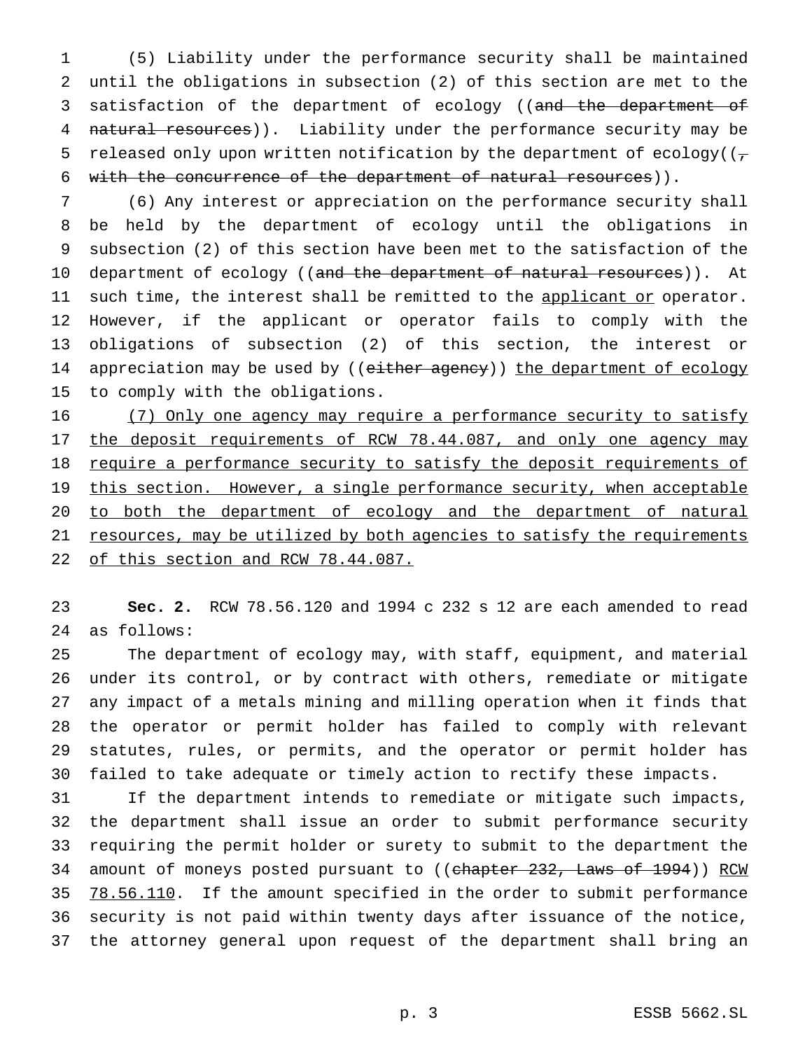(5) Liability under the performance security shall be maintained until the obligations in subsection (2) of this section are met to the 3 satisfaction of the department of ecology ((and the department of 4 natural resources)). Liability under the performance security may be 5 released only upon written notification by the department of ecology( $(\tau$ with the concurrence of the department of natural resources)).

 (6) Any interest or appreciation on the performance security shall be held by the department of ecology until the obligations in subsection (2) of this section have been met to the satisfaction of the 10 department of ecology ((and the department of natural resources)). At 11 such time, the interest shall be remitted to the applicant or operator. However, if the applicant or operator fails to comply with the obligations of subsection (2) of this section, the interest or 14 appreciation may be used by ((either agency)) the department of ecology to comply with the obligations.

16 (7) Only one agency may require a performance security to satisfy 17 the deposit requirements of RCW 78.44.087, and only one agency may 18 require a performance security to satisfy the deposit requirements of 19 this section. However, a single performance security, when acceptable to both the department of ecology and the department of natural resources, may be utilized by both agencies to satisfy the requirements 22 of this section and RCW 78.44.087.

 **Sec. 2.** RCW 78.56.120 and 1994 c 232 s 12 are each amended to read as follows:

 The department of ecology may, with staff, equipment, and material under its control, or by contract with others, remediate or mitigate any impact of a metals mining and milling operation when it finds that the operator or permit holder has failed to comply with relevant statutes, rules, or permits, and the operator or permit holder has failed to take adequate or timely action to rectify these impacts.

 If the department intends to remediate or mitigate such impacts, the department shall issue an order to submit performance security requiring the permit holder or surety to submit to the department the 34 amount of moneys posted pursuant to ((chapter 232, Laws of 1994)) RCW 35 78.56.110. If the amount specified in the order to submit performance security is not paid within twenty days after issuance of the notice, the attorney general upon request of the department shall bring an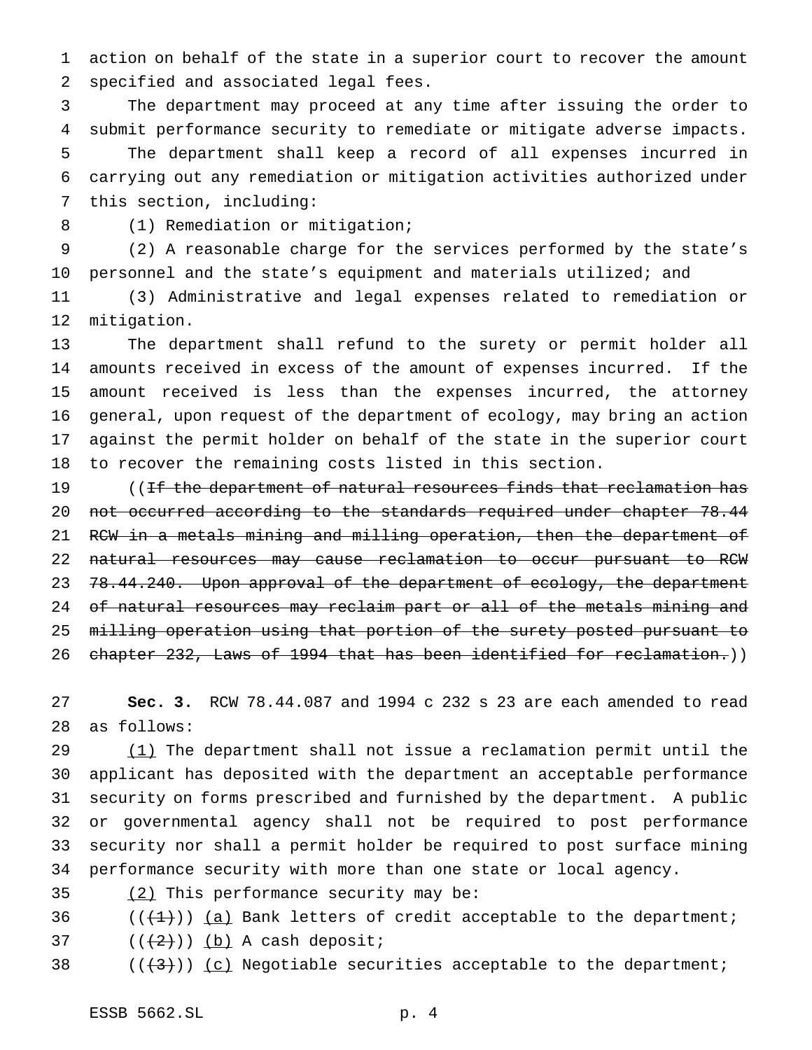action on behalf of the state in a superior court to recover the amount specified and associated legal fees.

 The department may proceed at any time after issuing the order to submit performance security to remediate or mitigate adverse impacts. The department shall keep a record of all expenses incurred in carrying out any remediation or mitigation activities authorized under this section, including:

8 (1) Remediation or mitigation;

 (2) A reasonable charge for the services performed by the state's personnel and the state's equipment and materials utilized; and

 (3) Administrative and legal expenses related to remediation or mitigation.

 The department shall refund to the surety or permit holder all amounts received in excess of the amount of expenses incurred. If the amount received is less than the expenses incurred, the attorney general, upon request of the department of ecology, may bring an action against the permit holder on behalf of the state in the superior court to recover the remaining costs listed in this section.

19 ((If the department of natural resources finds that reclamation has 20 not occurred according to the standards required under chapter 78.44 21 RCW in a metals mining and milling operation, then the department of natural resources may cause reclamation to occur pursuant to RCW 23 78.44.240. Upon approval of the department of ecology, the department 24 of natural resources may reclaim part or all of the metals mining and milling operation using that portion of the surety posted pursuant to chapter 232, Laws of 1994 that has been identified for reclamation.))

 **Sec. 3.** RCW 78.44.087 and 1994 c 232 s 23 are each amended to read as follows:

29 (1) The department shall not issue a reclamation permit until the applicant has deposited with the department an acceptable performance security on forms prescribed and furnished by the department. A public or governmental agency shall not be required to post performance security nor shall a permit holder be required to post surface mining performance security with more than one state or local agency.

(2) This performance security may be:

36  $((+1))$  (a) Bank letters of credit acceptable to the department;

37  $((+2)^{n})$   $(b)$  A cash deposit;

38 ( $(\langle 43 \rangle)$ ) (c) Negotiable securities acceptable to the department;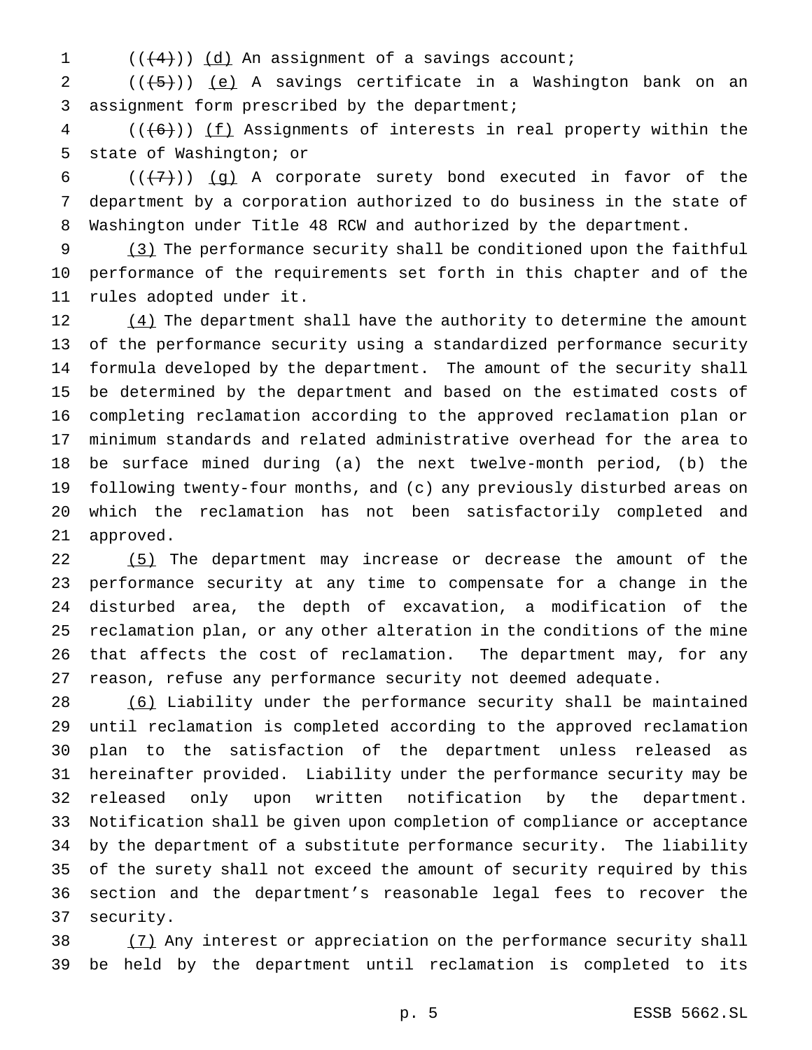$((+4))$   $(d)$  An assignment of a savings account;

2  $((\overline{5}))$  (e) A savings certificate in a Washington bank on an assignment form prescribed by the department;

 (( $(6)$ )) <u>(f)</u> Assignments of interests in real property within the state of Washington; or

6  $((+7))$  (g) A corporate surety bond executed in favor of the department by a corporation authorized to do business in the state of Washington under Title 48 RCW and authorized by the department.

9 (3) The performance security shall be conditioned upon the faithful performance of the requirements set forth in this chapter and of the rules adopted under it.

 (4) The department shall have the authority to determine the amount of the performance security using a standardized performance security formula developed by the department. The amount of the security shall be determined by the department and based on the estimated costs of completing reclamation according to the approved reclamation plan or minimum standards and related administrative overhead for the area to be surface mined during (a) the next twelve-month period, (b) the following twenty-four months, and (c) any previously disturbed areas on which the reclamation has not been satisfactorily completed and approved.

22 (5) The department may increase or decrease the amount of the performance security at any time to compensate for a change in the disturbed area, the depth of excavation, a modification of the reclamation plan, or any other alteration in the conditions of the mine that affects the cost of reclamation. The department may, for any reason, refuse any performance security not deemed adequate.

 (6) Liability under the performance security shall be maintained until reclamation is completed according to the approved reclamation plan to the satisfaction of the department unless released as hereinafter provided. Liability under the performance security may be released only upon written notification by the department. Notification shall be given upon completion of compliance or acceptance by the department of a substitute performance security. The liability of the surety shall not exceed the amount of security required by this section and the department's reasonable legal fees to recover the security.

38 (7) Any interest or appreciation on the performance security shall be held by the department until reclamation is completed to its